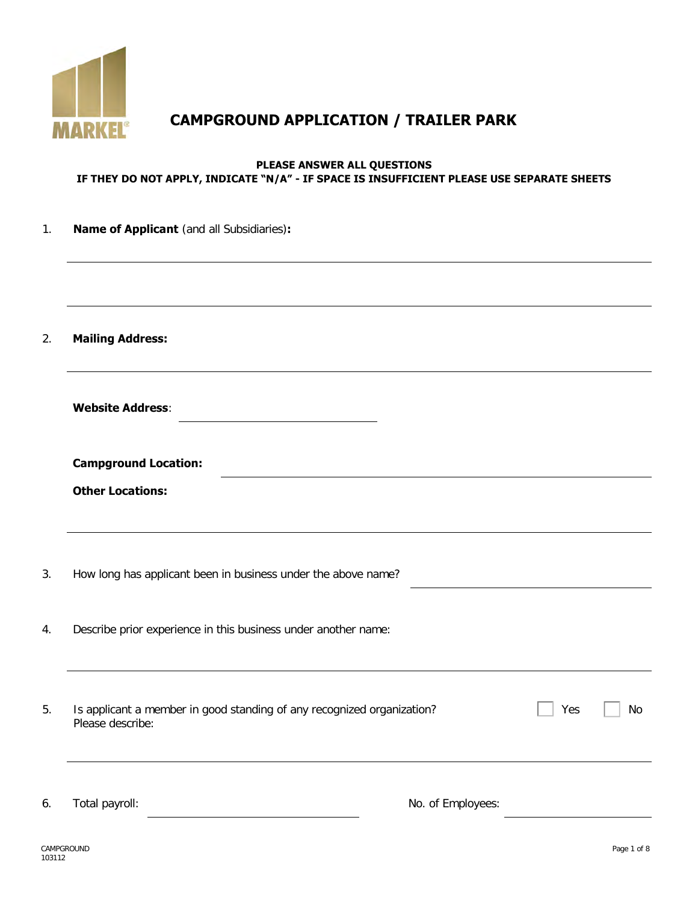

# **CAMPGROUND APPLICATION / TRAILER PARK**

#### **PLEASE ANSWER ALL QUESTIONS IF THEY DO NOT APPLY, INDICATE "N/A" - IF SPACE IS INSUFFICIENT PLEASE USE SEPARATE SHEETS**

| 1. | Name of Applicant (and all Subsidiaries):                                                  |                   |
|----|--------------------------------------------------------------------------------------------|-------------------|
|    |                                                                                            |                   |
| 2. | <b>Mailing Address:</b>                                                                    |                   |
|    | <b>Website Address:</b>                                                                    |                   |
|    | <b>Campground Location:</b>                                                                |                   |
|    | <b>Other Locations:</b>                                                                    |                   |
| 3. | How long has applicant been in business under the above name?                              |                   |
| 4. | Describe prior experience in this business under another name:                             |                   |
| 5. | Is applicant a member in good standing of any recognized organization?<br>Please describe: | Yes<br>No         |
| 6. | Total payroll:                                                                             | No. of Employees: |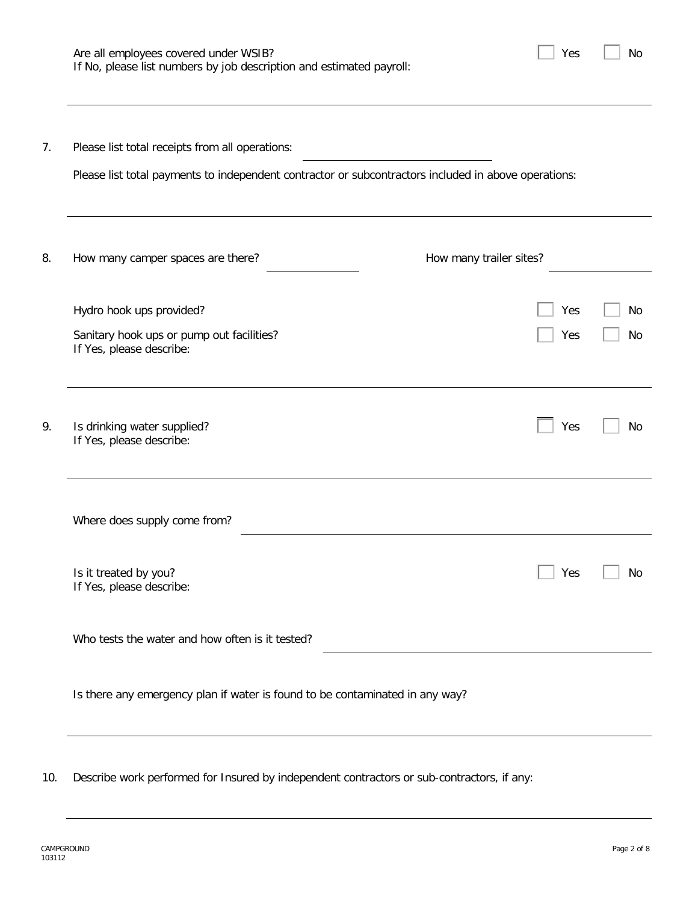| Are all employees covered under WSIB?                                | $\Box$ Yes |
|----------------------------------------------------------------------|------------|
| If No, please list numbers by job description and estimated payroll: |            |

| ۰. |  |
|----|--|
|----|--|

| Please list total receipts from all operations:<br>Please list total payments to independent contractor or subcontractors included in above operations: |                         |  |  |  |  |  |
|---------------------------------------------------------------------------------------------------------------------------------------------------------|-------------------------|--|--|--|--|--|
|                                                                                                                                                         |                         |  |  |  |  |  |
|                                                                                                                                                         |                         |  |  |  |  |  |
| How many camper spaces are there?                                                                                                                       | How many trailer sites? |  |  |  |  |  |
| Hydro hook ups provided?                                                                                                                                | Yes                     |  |  |  |  |  |
| Sanitary hook ups or pump out facilities?<br>If Yes, please describe:                                                                                   | Yes                     |  |  |  |  |  |
| Is drinking water supplied?<br>If Yes, please describe:                                                                                                 | Yes                     |  |  |  |  |  |
| Where does supply come from?                                                                                                                            |                         |  |  |  |  |  |
| Is it treated by you?<br>If Yes, please describe:                                                                                                       | Yes                     |  |  |  |  |  |
| Who tests the water and how often is it tested?                                                                                                         |                         |  |  |  |  |  |
| Is there any emergency plan if water is found to be contaminated in any way?                                                                            |                         |  |  |  |  |  |

10. Describe work performed for Insured by independent contractors or sub-contractors, if any: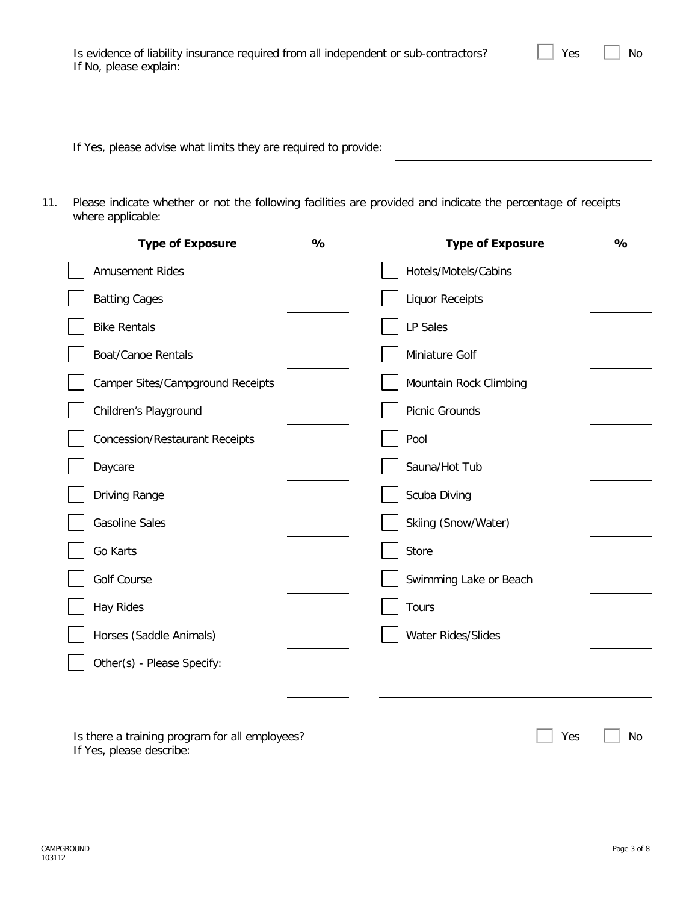| Is evidence of liability insurance required from all independent or sub-contractors? |  |
|--------------------------------------------------------------------------------------|--|
| If No, please explain:                                                               |  |

 $Yes \t No$ 

If Yes, please advise what limits they are required to provide:

11. Please indicate whether or not the following facilities are provided and indicate the percentage of receipts where applicable:

| <b>Type of Exposure</b>                                                    | $\frac{1}{2}$ | <b>Type of Exposure</b> | $\frac{1}{2}$ |
|----------------------------------------------------------------------------|---------------|-------------------------|---------------|
| <b>Amusement Rides</b>                                                     |               | Hotels/Motels/Cabins    |               |
| <b>Batting Cages</b>                                                       |               | <b>Liquor Receipts</b>  |               |
| <b>Bike Rentals</b>                                                        |               | LP Sales                |               |
| <b>Boat/Canoe Rentals</b>                                                  |               | Miniature Golf          |               |
| <b>Camper Sites/Campground Receipts</b>                                    |               | Mountain Rock Climbing  |               |
| Children's Playground                                                      |               | Picnic Grounds          |               |
| <b>Concession/Restaurant Receipts</b>                                      |               | Pool                    |               |
| Daycare                                                                    |               | Sauna/Hot Tub           |               |
| Driving Range                                                              |               | Scuba Diving            |               |
| <b>Gasoline Sales</b>                                                      |               | Skiing (Snow/Water)     |               |
| Go Karts                                                                   |               | Store                   |               |
| <b>Golf Course</b>                                                         |               | Swimming Lake or Beach  |               |
| <b>Hay Rides</b>                                                           |               | Tours                   |               |
| Horses (Saddle Animals)                                                    |               | Water Rides/Slides      |               |
| Other(s) - Please Specify:                                                 |               |                         |               |
|                                                                            |               |                         |               |
| Is there a training program for all employees?<br>If Yes, please describe: |               | Yes                     | No            |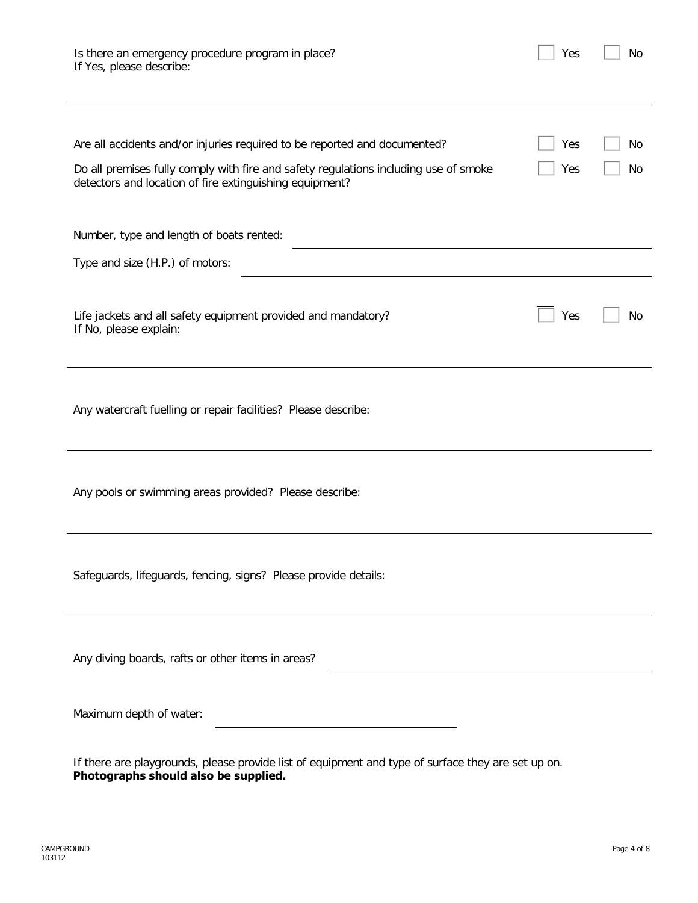| Is there an emergency procedure program in place? |  |
|---------------------------------------------------|--|
| If Yes, please describe:                          |  |

| Are all accidents and/or injuries required to be reported and documented?<br>Do all premises fully comply with fire and safety regulations including use of smoke<br>detectors and location of fire extinguishing equipment? | Yes<br>Yes | No<br>No |
|------------------------------------------------------------------------------------------------------------------------------------------------------------------------------------------------------------------------------|------------|----------|
| Number, type and length of boats rented:                                                                                                                                                                                     |            |          |
| Type and size (H.P.) of motors:                                                                                                                                                                                              |            |          |
| Life jackets and all safety equipment provided and mandatory?<br>If No, please explain:                                                                                                                                      | Yes        | No       |
| Any watercraft fuelling or repair facilities? Please describe:                                                                                                                                                               |            |          |
| Any pools or swimming areas provided? Please describe:                                                                                                                                                                       |            |          |
| Safeguards, lifeguards, fencing, signs? Please provide details:                                                                                                                                                              |            |          |
| Any diving boards, rafts or other items in areas?                                                                                                                                                                            |            |          |
| Maximum depth of water:                                                                                                                                                                                                      |            |          |
| If there are playgrounds, please provide list of equipment and type of surface they are set up on.<br>Photographs should also be supplied.                                                                                   |            |          |

 $Yes \t No$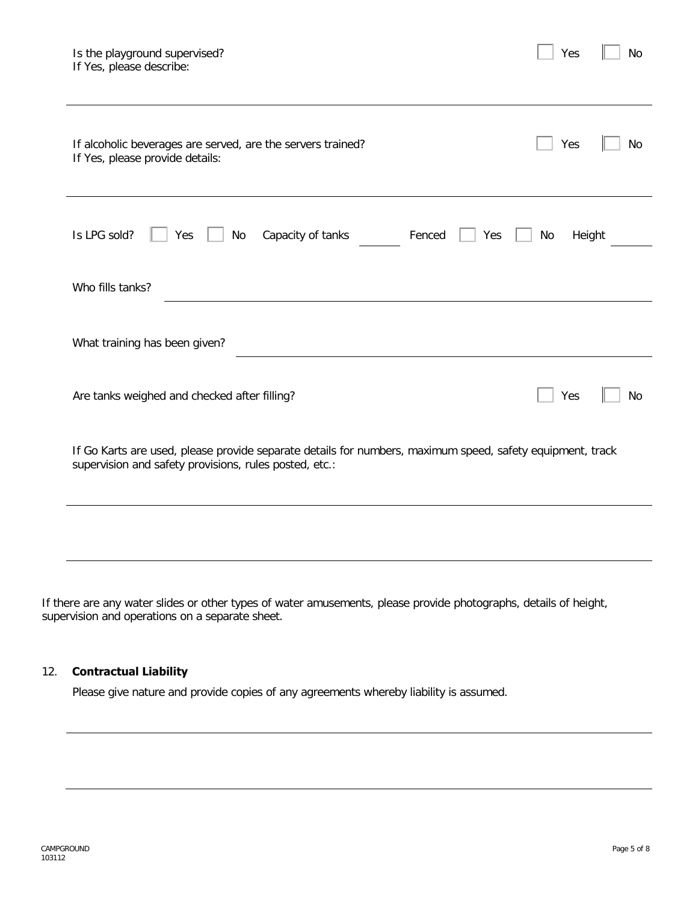| Is the playground supervised?<br>If Yes, please describe:                                                                                                           | Yes          | No        |  |  |  |
|---------------------------------------------------------------------------------------------------------------------------------------------------------------------|--------------|-----------|--|--|--|
| If alcoholic beverages are served, are the servers trained?<br>If Yes, please provide details:                                                                      | Yes          | <b>No</b> |  |  |  |
| Is LPG sold?<br>No<br>Capacity of tanks<br>Fenced<br>Yes<br>Yes                                                                                                     | No<br>Height |           |  |  |  |
| Who fills tanks?                                                                                                                                                    |              |           |  |  |  |
| What training has been given?                                                                                                                                       |              |           |  |  |  |
| Are tanks weighed and checked after filling?                                                                                                                        | Yes          | No        |  |  |  |
| If Go Karts are used, please provide separate details for numbers, maximum speed, safety equipment, track<br>supervision and safety provisions, rules posted, etc.: |              |           |  |  |  |
|                                                                                                                                                                     |              |           |  |  |  |

If there are any water slides or other types of water amusements, please provide photographs, details of height, supervision and operations on a separate sheet.

#### 12. **Contractual Liability**

Please give nature and provide copies of any agreements whereby liability is assumed.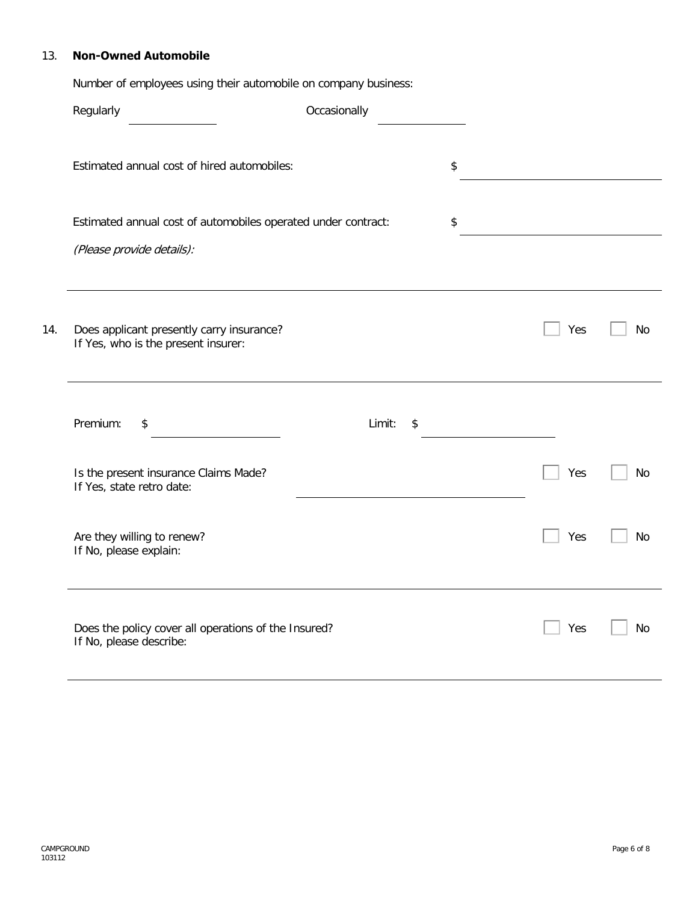#### 13. **Non-Owned Automobile**

Number of employees using their automobile on company business:

|     | Regularly                                                                        | Occasionally |     |           |
|-----|----------------------------------------------------------------------------------|--------------|-----|-----------|
|     | Estimated annual cost of hired automobiles:                                      |              | \$  |           |
|     | Estimated annual cost of automobiles operated under contract:                    |              | \$  |           |
|     | (Please provide details):                                                        |              |     |           |
| 14. | Does applicant presently carry insurance?<br>If Yes, who is the present insurer: |              | Yes | <b>No</b> |
|     | Premium:<br>\$                                                                   | Limit:<br>\$ |     |           |
|     | Is the present insurance Claims Made?<br>If Yes, state retro date:               |              | Yes | <b>No</b> |
|     | Are they willing to renew?<br>If No, please explain:                             |              | Yes | No        |
|     | Does the policy cover all operations of the Insured?<br>If No, please describe:  |              | Yes | No        |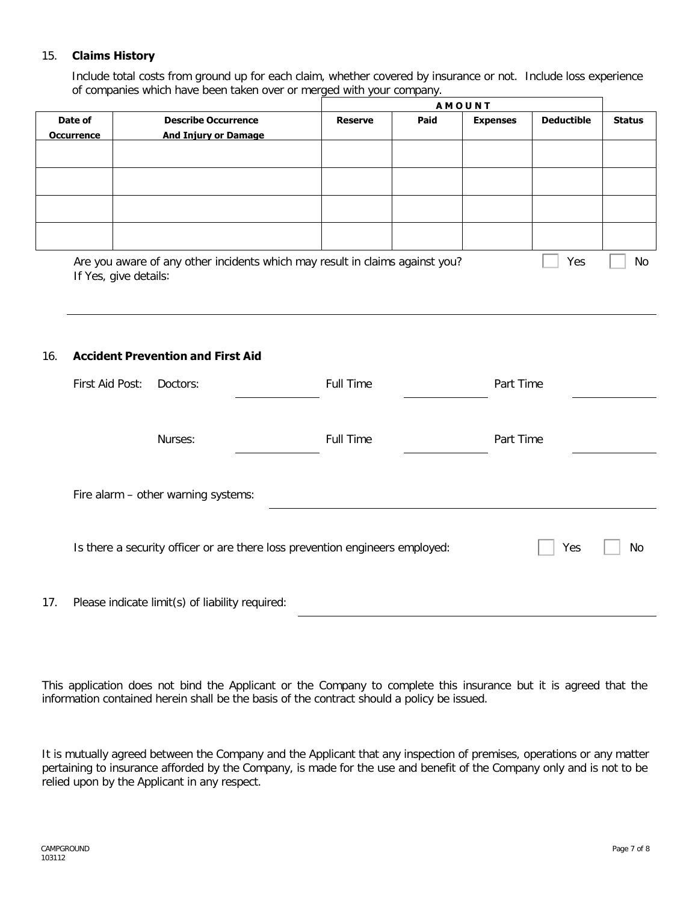#### 15. **Claims History**

Include total costs from ground up for each claim, whether covered by insurance or not. Include loss experience of companies which have been taken over or merged with your company.

|                              |                                                                              | <b>AMOUNT</b>  |      |                 |                   |               |
|------------------------------|------------------------------------------------------------------------------|----------------|------|-----------------|-------------------|---------------|
| Date of<br><b>Occurrence</b> | <b>Describe Occurrence</b><br><b>And Injury or Damage</b>                    | <b>Reserve</b> | Paid | <b>Expenses</b> | <b>Deductible</b> | <b>Status</b> |
|                              |                                                                              |                |      |                 |                   |               |
|                              |                                                                              |                |      |                 |                   |               |
|                              |                                                                              |                |      |                 |                   |               |
|                              |                                                                              |                |      |                 |                   |               |
|                              | Are you aware of any other incidents which may result in claims against you? |                |      |                 | Yes               | No            |

If Yes, give details:

#### 16. **Accident Prevention and First Aid**

|     | First Aid Post: | Doctors:                                                                     | <b>Full Time</b> | Part Time |    |  |
|-----|-----------------|------------------------------------------------------------------------------|------------------|-----------|----|--|
|     |                 | Nurses:                                                                      | <b>Full Time</b> | Part Time |    |  |
|     |                 | Fire alarm - other warning systems:                                          |                  |           |    |  |
|     |                 | Is there a security officer or are there loss prevention engineers employed: |                  | Yes       | No |  |
| 17. |                 | Please indicate limit(s) of liability required:                              |                  |           |    |  |

This application does not bind the Applicant or the Company to complete this insurance but it is agreed that the information contained herein shall be the basis of the contract should a policy be issued.

It is mutually agreed between the Company and the Applicant that any inspection of premises, operations or any matter pertaining to insurance afforded by the Company, is made for the use and benefit of the Company only and is not to be relied upon by the Applicant in any respect.